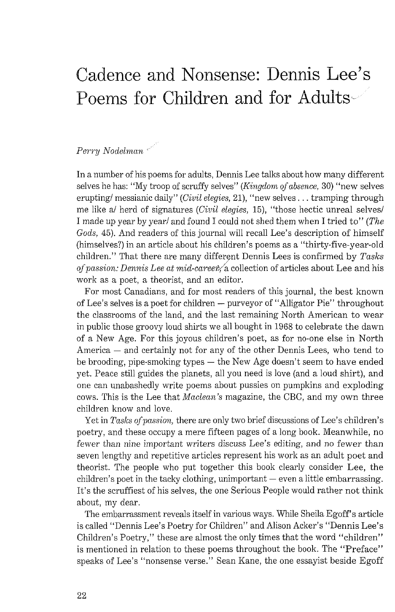## Cadence and Nonsense: Dennis Lee's<br>Poems for Children and for Adults

## Perry Nodelman

In a number of his poems for adults, Dennis Lee talks about how many different selves he has: "My troop of scruffy selves" (Kingdom of absence, 30) "new selves erupting/ messianic daily" (Civil elegies, 21), "new selves . . . tramping through me like a/ herd of signatures (Civil elegies, 15), "those hectic unreal selves/ I made up year by year/ and found I could not shed them when I tried to" (The Gods, 45). And readers of this journal will recall Lee's description of himself (himselves?) in an article about his children's poems as a "thirty-five-year-old children." That there are many different Dennis Lees is confirmed by  $Tasks$ of passion: Dennis Lee at mid-career, a collection of articles about Lee and his work as a poet, a theorist, and an editor.

For most Canadians, and for most readers of this journal, the best known of Lee's selves is a poet for children - purveyor of "Alligator Pie" throughout the classrooms of the land, and the last remaining North American to wear in public those groovy loud shirts we all bought in 1968 to celebrate the dawn of a New Age. For this joyous children's poet, as for no-one else in North America — and certainly not for any of the other Dennis Lees, who tend to America  $-$  and certainly not for any of the other Dennis Lees, who tend to be brooding, pipe-smoking types  $-$  the New Age doesn't seem to have ended yet. Peace still guides the planets, all you need is love (and a loud shirt), and one can unabashedly write poems about pussies on pumpkins and exploding cows. This is the Lee that Maclean's magazine, the CBC, and my own three children know and love.

Yet in Tasks of passion, there are only two brief discussions of Lee's children's poetry, and these occupy a mere fifteen pages of a long book. Meanwhile, no fewer than nine important writers discuss Lee's editing, and no fewer than seven lengthy and repetitive articles represent his work as an adult poet and theorist. The people who put together this book clearly consider Lee, the children's poet in the tacky clothing, unimportant — even a little embarrassing. It's the scruffiest of his selves, the one Serious People would rather not think about, my dear.

The embarrassment reveals itself in various ways. While Sheila Egoff's article is called "Dennis Lee's Poetry for Children" and Alison Acker's "Dennis Lee's Children's Poetry," these are almost the only times that the word "children" is mentioned in relation to these poems throughout the book. The "Preface" speaks of Lee's "nonsense verse." Sean Kane, the one essayist beside Egoff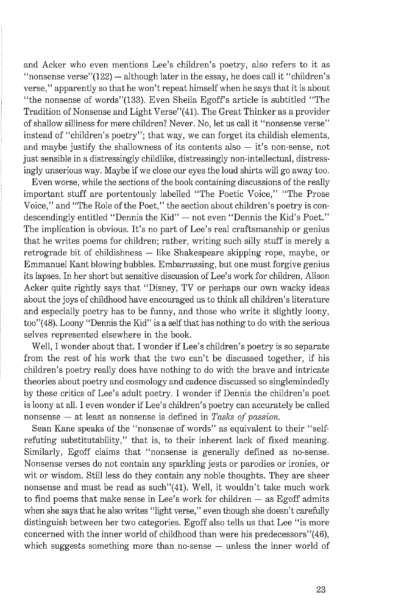and Acker who even mentions Lee's children's poetry, also refers to it as "nonsense verse" $(122)$  - although later in the essay, he does call it "children's verse," apparently so that he won't repeat himself when he says that it is about "the nonsense of words"(133). Even Sheila Egoff's article is subtitled "The Tradition of Nonsense and Light Verse''(41). The Great Thinker as a provider of shallow silliness for mere children? Never. No, let us call it "nonsense verse" instead of "children's poetry"; that way, we can forget its childish elements, and maybe justify the shallowness of its contents also  $-$  it's non-sense, not just sensible in a distressingly childlike, distressingly non-intellectual, distressingly unserious way. Maybe if we close our eyes the loud shirts will go away too.

Even worse, while the sections of the book containing discussions of the really important stuff are portentously labelled "The Poetic Voice," "The Prose Voice," and "The Role of the Poet," the section about children's poetry is condescendingly entitled "Dennis the Kid" - not even "Dennis the Kid's Poet." The implication is obvious. It's no part of Lee's real craftsmanship or genius that he writes poems for children; rather, writing such silly stuff is merely a retrograde bit of childishness - like Shakespeare skipping rope, maybe, or Emmanuel Kant blowing bubbles. Embarrassing, but one must forgive genius its lapses. In her short but sensitive discussion of Lee's work for children, Alison Acker quite rightly says that "Disney, TV or perhaps our own wacky ideas about the joys of childhood have encouraged us to think all children's literature and especially poetry has to be funny, and those who write it slightly loony, too"(48). Loony "Dennis the Kid" is a self that has nothing to do with the serious selves represented elsewhere in the book.

Well, I wonder about that. I wonder if Lee's children's poetry is so separate from the rest of his work that the two can't be discussed together, if his children's poetry really does have nothing to do with the brave and intricate theories about poetry and cosmology and cadence discussed so singlemindedly by these critics of Lee's adult poetry. I wonder if Dennis the children's poet is loony at all. I even wonder if Lee's children's poetry can accurately be called nonsense — at least as nonsense is defined in *Tasks of passion*.

Sean Kane speaks of the "nonsense of words" as equivalent to their "selfrefuting substitutability," that is, to their inherent lack of fixed meaning. Similarly, Egoff claims that "nonsense is generally defined as no-sense. Nonsense verses do not contain any sparkling jests or parodies or ironies, or wit or wisdom. Still less do they contain any noble thoughts. They are sheer nonsense and must be read as such''(41). Well, it wouldn't take much work to find poems that make sense in Lee's work for children  $-$  as Egoff admits when she says that he also writes "light verse," even though she doesn't carefully distinguish between her two categories. Egoff also tells us that Lee "is more concerned with the inner world of childhood than were his predecessors"(46), which suggests something more than no-sense — unless the inner world of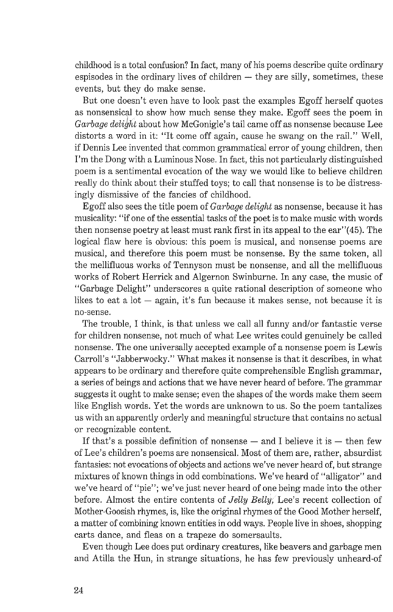childhood is a total confusion? In fact, many of his poems describe quite ordinary espisodes in the ordinary lives of children  $-$  they are silly, sometimes, these events, but they do make sense.

But one doesn't even have to look past the examples Egoff herself quotes as nonsensical to show how much sense they make. Egoff sees the poem in *Garbage delight* about how McGonigle's tail came off as nonsense because Lee distorts a word in it: "It come off again, cause he swang on the rail." Well, if Dennis Lee invented that common grammatical error of young children, then I'm the Dong with a Luminous Nose. In fact, this not particularly distinguished poem is a sentimental evocation of the way we would like to believe children really do think about their stuffed toys; to call that nonsense is to be distressingly dismissive of the fancies of childhood.

Egoff also sees the title poem of *Garbage delight* as nonsense, because it has musicality: "if one of the essential tasks of the poet is to malce music with words then nonsense poetry at least must rank first in its appeal to the ear"(45). The logical flaw here is obvious: this poem is musical, and nonsense poems are musical, and therefore this poem must be nonsense. By the same token, all the mellifluous works of Tennyson must be nonsense, and all the mellifluous works of Robert Herrick and Algernon Swinburne. In any case, the music of "Garbage Delight" underscores a quite rational description of someone who likes to eat a lot  $-$  again, it's fun because it makes sense, not because it is no-sense.

The trouble, I think, is that unless we call all funny and/or fantastic verse for children nonsense, not much of what Lee writes could genuinely be called nonsense. The one universally accepted example of a nonsense poem is Lewis Carroll's "Jabberwocky." What makes it nonsense is that it describes, in what appears to be ordinary and therefore quite comprehensible English grammar, a series of beings and actions that we have never heard of before. The grammar suggests it ought to make sense; even the shapes of the words make them seem like English words. Yet the words are unknown to us. So the poem tantalizes us with an apparently orderly and meaningful structure that contains no actual or recognizable content.

If that's a possible definition of nonsense  $-$  and I believe it is  $-$  then few of Lee's children's poems are nonsensical. Most of them are, rather, absurdist fantasies: not evocations of objects and actions we've never heard of, but strange mixtures of known things in odd combinations. We've heard of "alligator" and we've heard of "pie"; we've just never heard of one being made into the other before. Almost the entire contents of *Jelly Belly,* Lee's recent collection of Mother-Goosish rhymes, is, like the original rhymes of the Good Mother herself, a matter of combining known entities in odd ways. People live in shoes, shopping carts dance, and fleas on a trapeze do somersaults.

Even though Lee does put ordinary creatures, like beavers and garbage men and Atilla the Hun, in strange situations, he has few previously unheard-of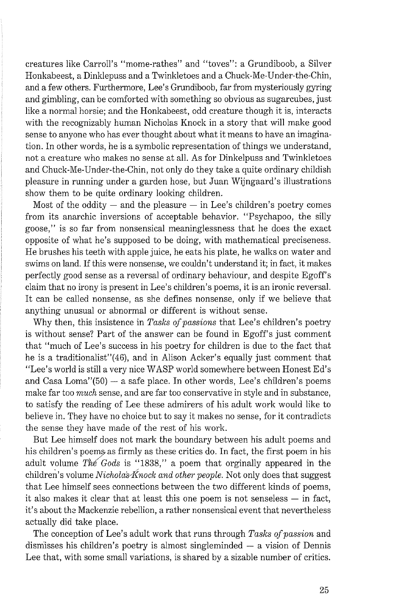creatures lilte Carroll's "mome-rathes" and "toves": a Grundiboob, a Silver Honkabeest, a Dinklepuss and a Twinkletoes and a Chuck-Me-Under-the-Chin, and a few others. Furthermore, Lee's Grundiboob, far from mysteriously gyring and gimbling, can be comforted with something so obvious as sugarcubes, just like a normal horsie; and the Honkabeest, odd creature though it is, interacts with the recognizably human Nicholas Knock in a story that will make good sense to anyone who has ever thought about what it means to have an imagination. In other words, he is a symbolic representation of things we understand, not a creature who makes no sense at all. As for Dinkelpuss and Twinkletoes and Chuck-Me-Under-the-Chin, not only do they take a quite ordinary childish pleasure in running under a garden hose, but Juan Wijngaard's illustrations show them to be quite ordinary looking children.

Most of the oddity  $-$  and the pleasure  $-$  in Lee's children's poetry comes from its anarchic inversions of acceptable behavior. "Psychapoo, the silly goose," is so far from nonsensical meaninglessness that he does the exact opposite of what he's supposed to be doing, with mathematical preciseness. He brushes his teeth with apple juice, he eats his plate, he walks on water and swims on land. If this were nonsense, we couldn't understand it; in fact, it makes perfectly good sense as a reversal of ordinary behaviour, and despite Egoff's claim that no irony is present in Lee's children's poems, it is an ironic reversal. It can be called nonsense, as she defines nonsense, only if we believe that anything unusual or abnormal or different is without sense.

Why then, this insistence in *Tasks of passions* that Lee's children's poetry is without sense? Part of the answer can be found in Egoff's just comment that "much of Lee's success in his poetry for children is due to the fact that he is a traditionalist"(46), and in Alison Acker's equally just comment that "Lee's world is still a very nice WASP world somewhere between Honest Ed's and Casa Loma" $(50)$  - a safe place. In other words, Lee's children's poems make far too *much* sense, and are far too conservative in style and in substance, to satisfy the reading of Lee these admirers of his adult work would like to believe in. They have no choice but to say it makes no sense, for it contradicts the sense they have made of the rest of his work.

But Lee himself does not mark the boundary between his adult poems and his children's poems as firmly as these critics do. In fact, the first poem in his adult volume The Gods is "1838," a poem that orginally appeared in the children's volume *Nicholas Knock and other people*. Not only does that suggest that Lee himself sees connections between the two different kinds of poems, it also makes it clear that at least this one poem is not senseless — in fact, it's about the Mackenzie rebellion, a rather nonsensical event that nevertheless actually did take place.

The conception of Lee's adult work that runs through *Tasks of passion* and dismisses his children's poetry is almost singleminded — a vision of Dennis Lee that, with some small variations, is shared by a sizable number of critics.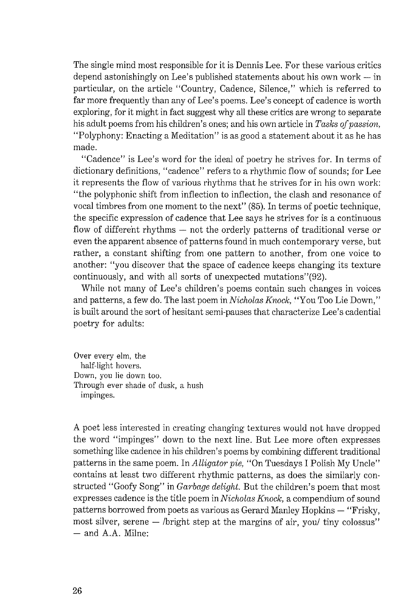The single mind most responsible for it is Dennis Lee. For these various critics depend astonishingly on Lee's published statements about his own work  $-$  in particular, on the article "Country, Cadence, Silence." which is referred to far more frequently than any of Lee's poems. Lee's concept of cadence is worth exploring, for it might in fact suggest why all these critics are wrong to separate his adult poems from his children's ones; and his own article in *Tasks of passion,*  "Polyphony: Enacting a Meditation" is as good a statement about it as he has made.

"Cadence" is Lee's word for the ideal of poetry he strives for. In terms of dictionary definitions, "cadence" refers to a rhythmic flow of sounds; for Lee it represents the flow of various rhythms that he strives for in his own work: "the polyphonic shift from inflection to inflection, the clash and resonance of vocal timbres from one moment to the next" (85). In terms of poetic technique, the specific expression of cadence that Lee says he strives for is a continuous flow of different rhythms - not the orderly patterns of traditional verse or even the apparent absence of patterns found in much contemporary verse, but rather, a constant shifting from one pattern to another, from one voice to another: "you discover that the space of cadence keeps changing its texture continuously, and with all sorts of unexpected mutations" $(92)$ .

While not many of Lee's children's poems contain such changes in voices and patterns, a few do. The last poem in *Nicholas Knock,* "You Too Lie Down," is built around the sort of hesitant semi-pauses that characterize Lee's cadential poetry for adults:

Over every elm, the half-light hovers. Down, you lie down too. Through ever shade of dusk, a hush impinges.

A poet less interested in creating changing textures would not have dropped the word "impinges" down to the next line. But Lee more often expresses something like cadence in his children's poems by combining different traditional patterns in the same poem. In *Alligator pie,* "On Tuesdays I Polish My Uncle" contains at least two different rhythmic patterns, as does the similarly constructed "Goofy Song" in *Garbage delight.* But the children's poem that most expresses cadence is the title poem in *Nicholas Knock,* a compendium of sound patterns borrowed from poets as various as Gerard Manley Hopkins  $-$  "Frisky, patterns borrowed from poets as various as Gerard Manley Hopkins — "Frisky,<br>most silver, serene — /bright step at the margins of air, you/ tiny colossus" most silver, serene<br>— and A.A. Milne: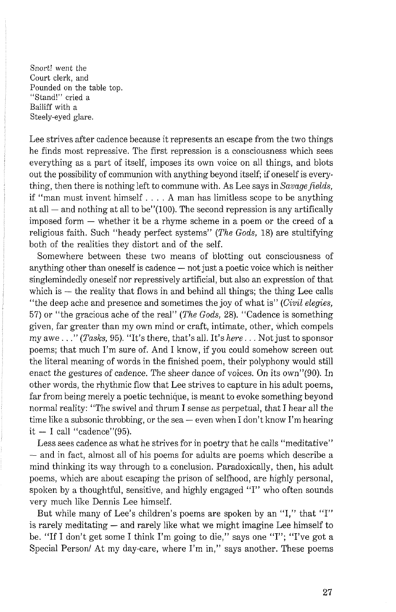Snort! went the Court clerk, and Pounded on the table top. "Stand!" cried a Bailiff with a Steely-eyed glare.

Lee strives after cadence because it represents an escape from the two things he finds most repressive. The first repression is a consciousness which sees everything as a part of itself, imposes its own voice on all things, and blots out the possibility of communion with anything beyond itself; if oneself is everything, then there is nothing left to commune with. As Lee says in Savage fields, if "man must invent himself . . . . A man has limitless scope to be anything at all  $-$  and nothing at all to be"(100). The second repression is any artifically imposed form  $-$  whether it be a rhyme scheme in a poem or the creed of a religious faith. Such "heady perfect systems" (The Gods, 18) are stultifying both of the realities they distort and of the self.

Somewhere between these two means of blotting out consciousness of anything other than oneself is cadence  $-$  not just a poetic voice which is neither singlemindedly oneself nor repressively artificial, but also an expression of that which is  $-$  the reality that flows in and behind all things; the thing Lee calls "the deep ache and presence and sometimes the joy of what is" (Civil elegies, 57) or "the gracious ache of the real" (The Gods, 28). "Cadence is something given, far greater than my own mind or craft, intimate, other, which compels my awe..." (Tasks, 95). "It's there, that's all. It's here... Not just to sponsor poems; that much I'm sure of. And I know, if you could somehow screen out the literal meaning of words in the finished poem, their polyphony would still enact the gestures of cadence. The sheer dance of voices. On its own"(90). In other words, the rhythmic flow that Lee strives to capture in his adult poems, far from being merely a poetic technique, is meant to evoke something beyond normal reality: "The swivel and thrum I sense as perpetual, that I hear all the normal reality: ''The swivel and thrum I sense as perpetual, that I hear all the<br>time like a subsonic throbbing, or the sea — even when I don't know I'm hearing time like a subsonic throbbit<br>it  $-$  I call "cadence"(95).

Less sees cadence as what he strives for in poetry that he calls "meditative" - and in fact, almost all of his poems for adults are poems which describe a mind thinking its way through to a conclusion. Paradoxically, then, his adult poems, which are about escaping the prison of selfhood, are highly personal, spoken by a thoughtful, sensitive, and highly engaged "I" who often sounds very much like Dennis Lee himself.

But while many of Lee's children's poems are spoken by an "I," that "I" is rarely meditating  $-$  and rarely like what we might imagine Lee himself to be. "If I don't get some I think I'm going to die," says one "I"; "I've got a Special Person/ At my day-care, where I'm in," says another. These poems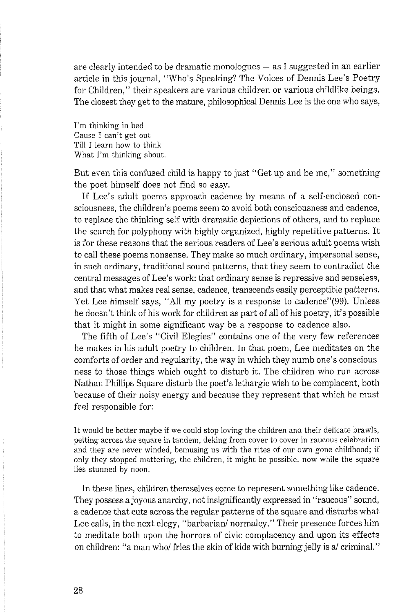are clearly intended to be dramatic monologues  $-$  as I suggested in an earlier article in this journal, "Who's Speaking? The Voices of Dennis Lee's Poetry for Children," their speakers are various children or various childlike beings. The closest they get to the mature, philosophical Dennis Lee is the one who says,

I'm thinking in bed Cause I can't get out Till I learn how to think What I'm thinking about.

But even this confused child is happy to just "Get up and be me," something the poet himself does not find so easy.

If Lee's adult poems approach cadence by means of a self-enclosed consciousness, the children's poems seem to avoid both consciousness and cadence, to replace the thinking self with dramatic depictions of others, and to replace the search for polyphony with highly organized, highly repetitive patterns. It is for these reasons that the serious readers of Lee's serious adult poems wish to call these poems nonsense. They make so much ordinary, impersonal sense, in such ordinary, traditional sound patterns, that they seem to contradict the central messages of Lee's work: that ordinary sense is repressive and senseless, and that what makes real sense, cadence, transcends easily perceptible patterns. Yet Lee himself says, "All my poetry is a response to cadence"(99). Unless he doesn't think of his work for children as part of all of his poetiy, it's possible that it might in some significant way be a response to cadence also.

The fifth of Lee's "Civil Elegies" contains one of the very few references he makes in his adult poetry to children. In that poem, Lee meditates on the comforts of order and regularity, the way in which they numb one's consciousness to those things which ought to disturb it. The children who run across Nathan Phillips Square disturb the poet's lethargic wish to be complacent, both because of their noisy energy and because they represent that which he must feel responsible for:

It would be better maybe if we could stop loving the children and their delicate brawls, pelting across the square in tandem, delting from cover to cover in raucous celebration and they are never winded, bemusing us with the rites of our own gone childhood; if only they stopped mattering, the children, it might be possible, now while the square lies stunned by noon.

In these lines, children themselves come to represent something like cadence. They possess a joyous anarchy, not insignificantly expressed in "raucous" sound, a cadence that cuts across the regular patterns of the square and disturbs what Lee calls, in the next elegy, "barbarian' normalcy." Their presence forces him to meditate both upon the horrors of civic complacency and upon its effects on children: "a man who/ fries the skin of kids with burning jelly is a/ criminal."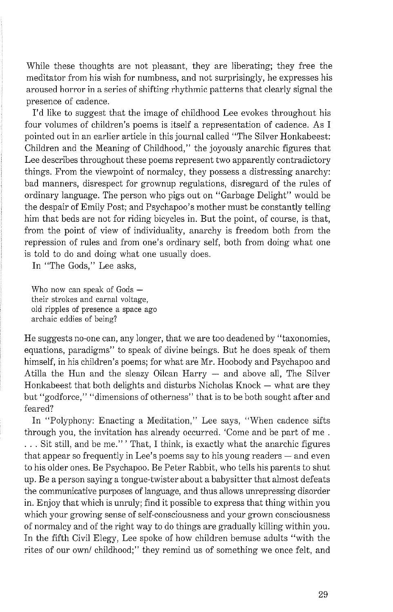While these thoughts are not pleasant, they are liberating; they free the meditator from his wish for numbness, and not surprisingly, he expresses his aroused horror in a series of shifting rhythmic patterns that clearly signal the presence of cadence.

I'd like to suggest that the image of childhood Lee evokes throughout his four volumes of children's poems is itself a representation of cadence. As I pointed out in an earlier article in this journal called "The Silver Honkabeest: Children and the Meaning of Childhood," the joyously anarchic figures that Lee describes throughout these poems represent two apparently contradictory things. From the viewpoint of normalcy, they possess a distressing anarchy: bad manners, disrespect for grownup regulations, disregard of the rules of ordinary language. The person who pigs out on "Garbage Delight" would be the despair of Emily Post; and Psychapoo's mother must be constantly telling him that beds are not for riding bicycles in. But the point, of course, is that, from the point of view of individuality, anarchy is freedom both from the repression of rules and from one's ordinary self, both from doing what one is told to do and doing what one usually does.

In "The Gods," Lee asks,

Who now can speak of  $G$ ods  $$ their strokes and carnal voltage, old ripples of presence a space ago archaic eddies of being?

He suggests no-one can, any longer, that we are too deadened by "taxonomies, equations, paradigms" to speak of divine beings. But he does speak of them himself, in his children's poems; for what are Mr. Hoobody and Psychapoo and Atilla the Hun and the sleazy Oilcan Harry  $-$  and above all, The Silver Honkabeest that both delights and disturbs Nicholas Knock  $-$  what are they but "godforce," "dimensions of otherness" that is to be both sought after and feared?

In "Polyphony: Enacting a Meditation," Lee says, "When cadence sifts through you, the invitation has already occurred. 'Come and be part of me . . . . Sit still, and be me." ' That, I think, is exactly what the anarchic figures that appear so frequently in Lee's poems say to his young readers  $-$  and even to his older ones. Be Psychapoo. Be Peter Rabbit, who tells his parents to shut up. Be a person saying a tongue-twister about a babysitter that almost defeats the communicative purposes of language, and thus allows unrepressing disorder in. Enjoy that which is unruly; find it possible to express that thing within you which your growing sense of self-consciousness and your grown consciousness of normalcy and of the right way to do things are gradually killing within you. In the fifth Civil Elegy, Lee spoke of how children bemuse adults "with the rites of our own/ childhood;" they remind us of something we once felt, and

29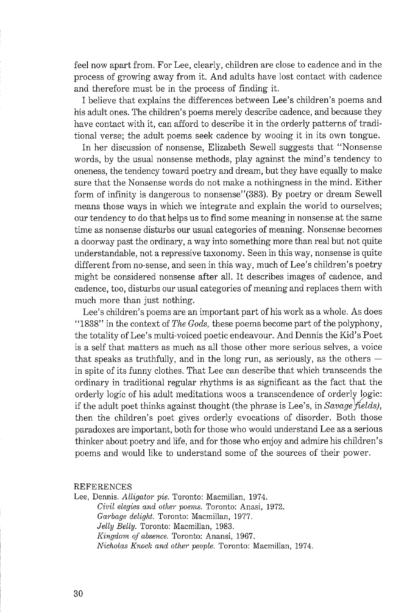feel now apart from. For Lee, clearly, children are close to cadence and in the process of growing away from it. And adults have lost contact with cadence and therefore must be in the process of finding it.

I believe that explains the differences between Lee's children's poems and his adult ones. The children's poems merely describe cadence, and because they have contact with it, can afford to describe it in the orderly patterns of traditional verse; the adult poems seek cadence by wooing it in its own tongue.

In her discussion of nonsense, Elizabeth Sewell suggests that "Nonsense words, by the usual nonsense methods, play against the mind's tendency to oneness, the tendency toward poetry and dream, but they have equally to make sure that the Nonsense words do not make a nothingness in the mind. Either form of infinity is dangerous to nonsense''(383). By poetry or dream Sewell means those ways in which we integrate and explain the world to ourselves; our tendency to do that helps us to find some meaning in nonsense at the same time as nonsense disturbs our usual categories of meaning. Nonsense becomes a doorway past the ordinary, a way into something more than real but not quite understandable, not a repressive taxonomy. Seen in this way, nonsense is quite different from no-sense, and seen in this way, much of Lee's children's poetry might be considered nonsense after all. It describes images of cadence, and cadence, too, disturbs our usual categories of meaning and replaces them with much more than just nothing.

Lee's children's poems are an important part of his work as a whole. As does "1838" in the context of *The Gods,* these poems become part of the polyphony, the totality of Lee's multi-voiced poetic endeavour. And Dennis the Kid's Poet is a self that matters as much as all those other more serious selves, a voice that speaks as truthfully, and in the long run, as seriously, as the others  $$ in spite of its funny clothes. That Lee can describe that which transcends the ordinary in traditional regular rhythms is as significant as the fact that the if the adult poet thinks against thought (the phrase is Lee's, in  $Savage$  *fields),* then the children's poet gives orderly evocations of disorder. Both those paradoxes are important, both for those who would understand Lee as a serious thinker about poetry and life, and for those who enjoy and admire his children's poems and would like to understand some of the sources of their power.

## *REFERENCES*

Lee, Dennis. Alligator pie. Toronto: Macmillan, 1974. *Civil elegies and other poems. Toronto: Anasi, 1972. Ga?-bage delight. Toronto: Macmillan,* 1977. *Jelly Belly. Toronto: Macmillan,* 1983. *Kingdom of absence. Toronto: Anansi,* 1967. *Nicholas Knock and other people. Toronto: Macmillan,* 1974.